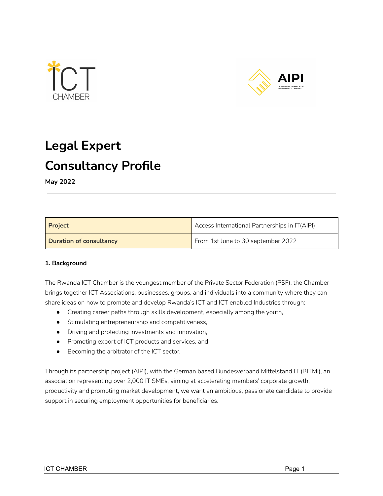



# **Legal Expert Consultancy Profile**

**May 2022**

| <b>Project</b>                 | Access International Partnerships in IT(AIPI) |  |
|--------------------------------|-----------------------------------------------|--|
| <b>Duration of consultancy</b> | From 1st June to 30 september 2022            |  |

### **1. Background**

The Rwanda ICT Chamber is the youngest member of the Private Sector Federation (PSF), the Chamber brings together ICT Associations, businesses, groups, and individuals into a community where they can share ideas on how to promote and develop Rwanda's ICT and ICT enabled Industries through:

- Creating career paths through skills development, especially among the youth,
- Stimulating entrepreneurship and competitiveness,
- Driving and protecting investments and innovation,
- Promoting export of ICT products and services, and
- Becoming the arbitrator of the ICT sector.

Through its partnership project (AIPI), with the German based Bundesverband Mittelstand IT (BITMi), an association representing over 2,000 IT SMEs, aiming at accelerating members' corporate growth, productivity and promoting market development, we want an ambitious, passionate candidate to provide support in securing employment opportunities for beneficiaries.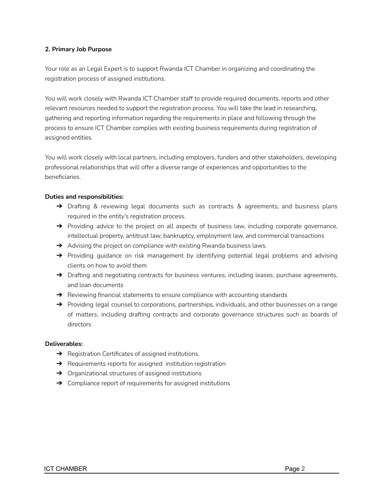#### **2. Primary Job Purpose**

Your role as an Legal Expert is to support Rwanda ICT Chamber in organizing and coordinating the registration process of assigned institutions.

You will work closely with Rwanda ICT Chamber staff to provide required documents, reports and other relevant resources needed to support the registration process. You will take the lead in researching, gathering and reporting information regarding the requirements in place and following through the process to ensure ICT Chamber complies with existing business requirements during registration of assigned entities.

You will work closely with local partners, including employers, funders and other stakeholders, developing professional relationships that will offer a diverse range of experiences and opportunities to the beneficiaries.

#### **Duties and responsibilities:**

- → Drafting & reviewing legal documents such as contracts & agreements, and business plans required in the entity's registration process.
- → Providing advice to the project on all aspects of business law, including corporate governance, intellectual property, antitrust law, bankruptcy, employment law, and commercial transactions
- $\rightarrow$  Advising the project on compliance with existing Rwanda business laws.
- → Providing guidance on risk management by identifying potential legal problems and advising clients on how to avoid them
- → Drafting and negotiating contracts for business ventures, including leases, purchase agreements, and loan documents
- $\rightarrow$  Reviewing financial statements to ensure compliance with accounting standards
- → Providing legal counsel to corporations, partnerships, individuals, and other businesses on a range of matters, including drafting contracts and corporate governance structures such as boards of directors

#### **Deliverables:**

- **→** Registration Certificates of assigned institutions.
- $\rightarrow$  Requirements reports for assigned institution registration
- ➔ Organizational structures of assigned institutions
- $\rightarrow$  Compliance report of requirements for assigned institutions